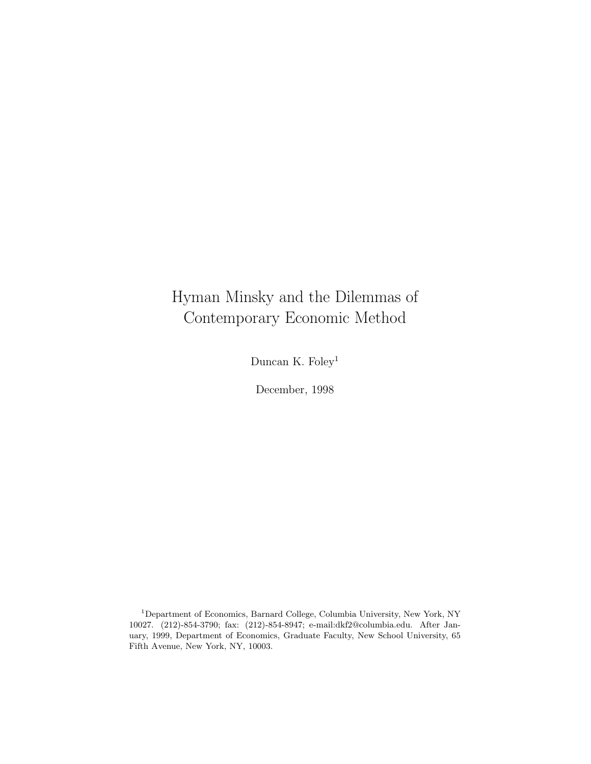# Hyman Minsky and the Dilemmas of Contemporary Economic Method

Duncan K. Foley<sup>1</sup>

December, 1998

<sup>1</sup>Department of Economics, Barnard College, Columbia University, New York, NY 10027. (212)-854-3790; fax: (212)-854-8947; e-mail:dkf2@columbia.edu. After January, 1999, Department of Economics, Graduate Faculty, New School University, 65 Fifth Avenue, New York, NY, 10003.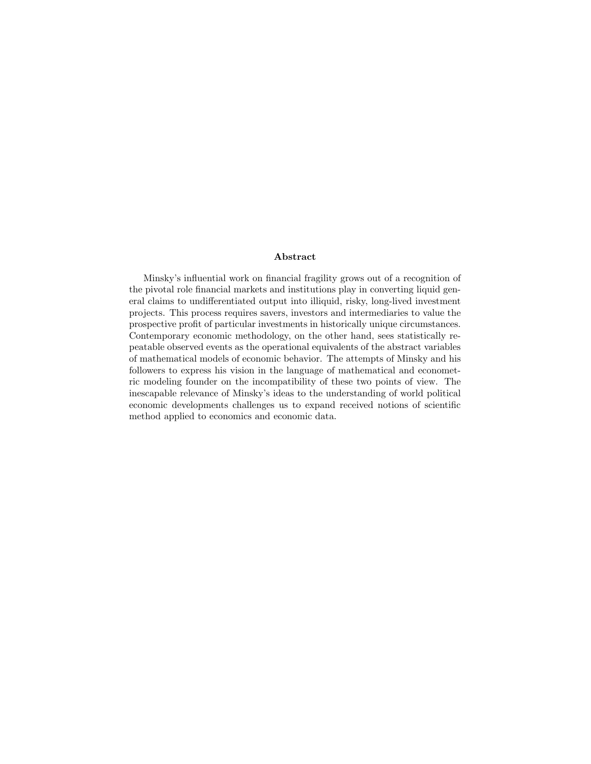#### **Abstract**

Minsky's influential work on financial fragility grows out of a recognition of the pivotal role financial markets and institutions play in converting liquid general claims to undifferentiated output into illiquid, risky, long-lived investment projects. This process requires savers, investors and intermediaries to value the prospective profit of particular investments in historically unique circumstances. Contemporary economic methodology, on the other hand, sees statistically repeatable observed events as the operational equivalents of the abstract variables of mathematical models of economic behavior. The attempts of Minsky and his followers to express his vision in the language of mathematical and econometric modeling founder on the incompatibility of these two points of view. The inescapable relevance of Minsky's ideas to the understanding of world political economic developments challenges us to expand received notions of scientific method applied to economics and economic data.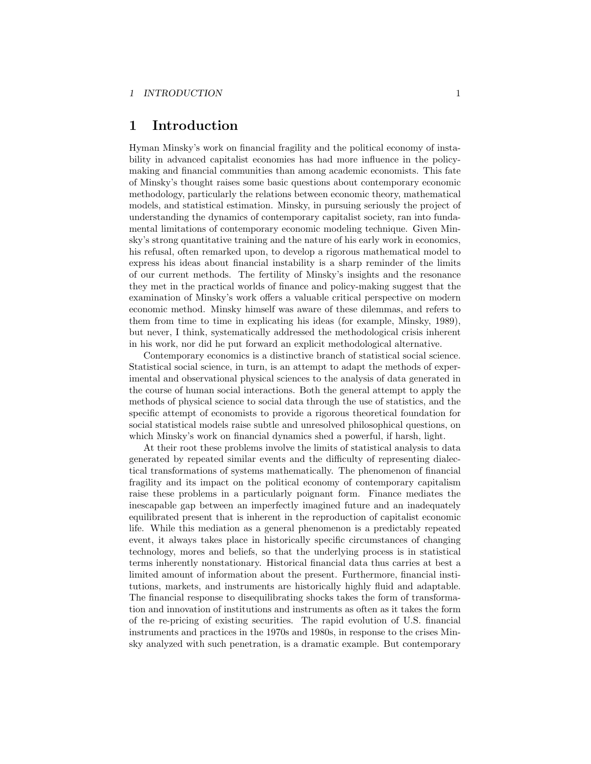### **1 Introduction**

Hyman Minsky's work on financial fragility and the political economy of instability in advanced capitalist economies has had more influence in the policymaking and financial communities than among academic economists. This fate of Minsky's thought raises some basic questions about contemporary economic methodology, particularly the relations between economic theory, mathematical models, and statistical estimation. Minsky, in pursuing seriously the project of understanding the dynamics of contemporary capitalist society, ran into fundamental limitations of contemporary economic modeling technique. Given Minsky's strong quantitative training and the nature of his early work in economics, his refusal, often remarked upon, to develop a rigorous mathematical model to express his ideas about financial instability is a sharp reminder of the limits of our current methods. The fertility of Minsky's insights and the resonance they met in the practical worlds of finance and policy-making suggest that the examination of Minsky's work offers a valuable critical perspective on modern economic method. Minsky himself was aware of these dilemmas, and refers to them from time to time in explicating his ideas (for example, Minsky, 1989), but never, I think, systematically addressed the methodological crisis inherent in his work, nor did he put forward an explicit methodological alternative.

Contemporary economics is a distinctive branch of statistical social science. Statistical social science, in turn, is an attempt to adapt the methods of experimental and observational physical sciences to the analysis of data generated in the course of human social interactions. Both the general attempt to apply the methods of physical science to social data through the use of statistics, and the specific attempt of economists to provide a rigorous theoretical foundation for social statistical models raise subtle and unresolved philosophical questions, on which Minsky's work on financial dynamics shed a powerful, if harsh, light.

At their root these problems involve the limits of statistical analysis to data generated by repeated similar events and the difficulty of representing dialectical transformations of systems mathematically. The phenomenon of financial fragility and its impact on the political economy of contemporary capitalism raise these problems in a particularly poignant form. Finance mediates the inescapable gap between an imperfectly imagined future and an inadequately equilibrated present that is inherent in the reproduction of capitalist economic life. While this mediation as a general phenomenon is a predictably repeated event, it always takes place in historically specific circumstances of changing technology, mores and beliefs, so that the underlying process is in statistical terms inherently nonstationary. Historical financial data thus carries at best a limited amount of information about the present. Furthermore, financial institutions, markets, and instruments are historically highly fluid and adaptable. The financial response to disequilibrating shocks takes the form of transformation and innovation of institutions and instruments as often as it takes the form of the re-pricing of existing securities. The rapid evolution of U.S. financial instruments and practices in the 1970s and 1980s, in response to the crises Minsky analyzed with such penetration, is a dramatic example. But contemporary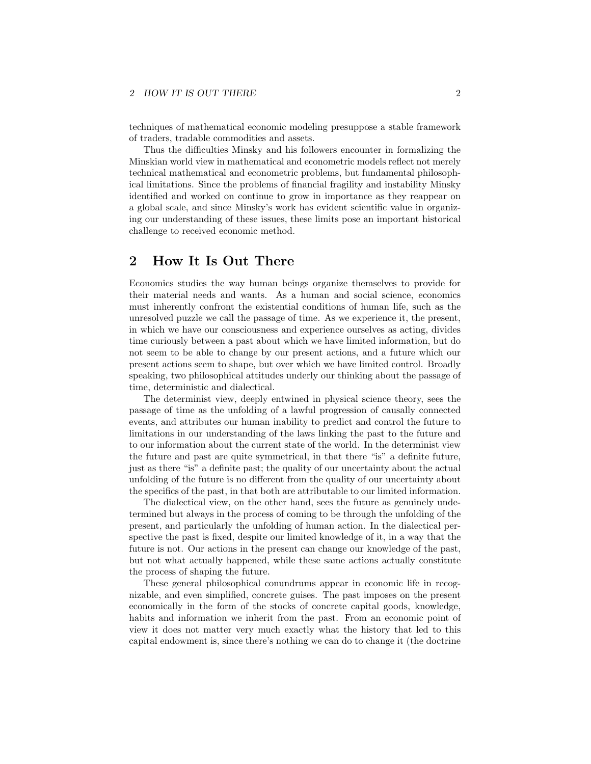#### 2 HOW IT IS OUT THERE 2

techniques of mathematical economic modeling presuppose a stable framework of traders, tradable commodities and assets.

Thus the difficulties Minsky and his followers encounter in formalizing the Minskian world view in mathematical and econometric models reflect not merely technical mathematical and econometric problems, but fundamental philosophical limitations. Since the problems of financial fragility and instability Minsky identified and worked on continue to grow in importance as they reappear on a global scale, and since Minsky's work has evident scientific value in organizing our understanding of these issues, these limits pose an important historical challenge to received economic method.

# **2 How It Is Out There**

Economics studies the way human beings organize themselves to provide for their material needs and wants. As a human and social science, economics must inherently confront the existential conditions of human life, such as the unresolved puzzle we call the passage of time. As we experience it, the present, in which we have our consciousness and experience ourselves as acting, divides time curiously between a past about which we have limited information, but do not seem to be able to change by our present actions, and a future which our present actions seem to shape, but over which we have limited control. Broadly speaking, two philosophical attitudes underly our thinking about the passage of time, deterministic and dialectical.

The determinist view, deeply entwined in physical science theory, sees the passage of time as the unfolding of a lawful progression of causally connected events, and attributes our human inability to predict and control the future to limitations in our understanding of the laws linking the past to the future and to our information about the current state of the world. In the determinist view the future and past are quite symmetrical, in that there "is" a definite future, just as there "is" a definite past; the quality of our uncertainty about the actual unfolding of the future is no different from the quality of our uncertainty about the specifics of the past, in that both are attributable to our limited information.

The dialectical view, on the other hand, sees the future as genuinely undetermined but always in the process of coming to be through the unfolding of the present, and particularly the unfolding of human action. In the dialectical perspective the past is fixed, despite our limited knowledge of it, in a way that the future is not. Our actions in the present can change our knowledge of the past, but not what actually happened, while these same actions actually constitute the process of shaping the future.

These general philosophical conundrums appear in economic life in recognizable, and even simplified, concrete guises. The past imposes on the present economically in the form of the stocks of concrete capital goods, knowledge, habits and information we inherit from the past. From an economic point of view it does not matter very much exactly what the history that led to this capital endowment is, since there's nothing we can do to change it (the doctrine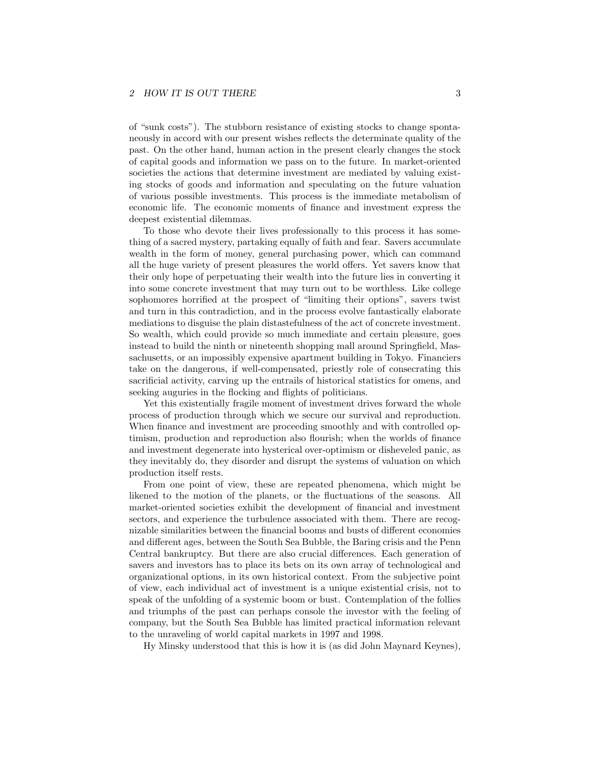of "sunk costs"). The stubborn resistance of existing stocks to change spontaneously in accord with our present wishes reflects the determinate quality of the past. On the other hand, human action in the present clearly changes the stock of capital goods and information we pass on to the future. In market-oriented societies the actions that determine investment are mediated by valuing existing stocks of goods and information and speculating on the future valuation of various possible investments. This process is the immediate metabolism of economic life. The economic moments of finance and investment express the deepest existential dilemmas.

To those who devote their lives professionally to this process it has something of a sacred mystery, partaking equally of faith and fear. Savers accumulate wealth in the form of money, general purchasing power, which can command all the huge variety of present pleasures the world offers. Yet savers know that their only hope of perpetuating their wealth into the future lies in converting it into some concrete investment that may turn out to be worthless. Like college sophomores horrified at the prospect of "limiting their options", savers twist and turn in this contradiction, and in the process evolve fantastically elaborate mediations to disguise the plain distastefulness of the act of concrete investment. So wealth, which could provide so much immediate and certain pleasure, goes instead to build the ninth or nineteenth shopping mall around Springfield, Massachusetts, or an impossibly expensive apartment building in Tokyo. Financiers take on the dangerous, if well-compensated, priestly role of consecrating this sacrificial activity, carving up the entrails of historical statistics for omens, and seeking auguries in the flocking and flights of politicians.

Yet this existentially fragile moment of investment drives forward the whole process of production through which we secure our survival and reproduction. When finance and investment are proceeding smoothly and with controlled optimism, production and reproduction also flourish; when the worlds of finance and investment degenerate into hysterical over-optimism or disheveled panic, as they inevitably do, they disorder and disrupt the systems of valuation on which production itself rests.

From one point of view, these are repeated phenomena, which might be likened to the motion of the planets, or the fluctuations of the seasons. All market-oriented societies exhibit the development of financial and investment sectors, and experience the turbulence associated with them. There are recognizable similarities between the financial booms and busts of different economies and different ages, between the South Sea Bubble, the Baring crisis and the Penn Central bankruptcy. But there are also crucial differences. Each generation of savers and investors has to place its bets on its own array of technological and organizational options, in its own historical context. From the subjective point of view, each individual act of investment is a unique existential crisis, not to speak of the unfolding of a systemic boom or bust. Contemplation of the follies and triumphs of the past can perhaps console the investor with the feeling of company, but the South Sea Bubble has limited practical information relevant to the unraveling of world capital markets in 1997 and 1998.

Hy Minsky understood that this is how it is (as did John Maynard Keynes),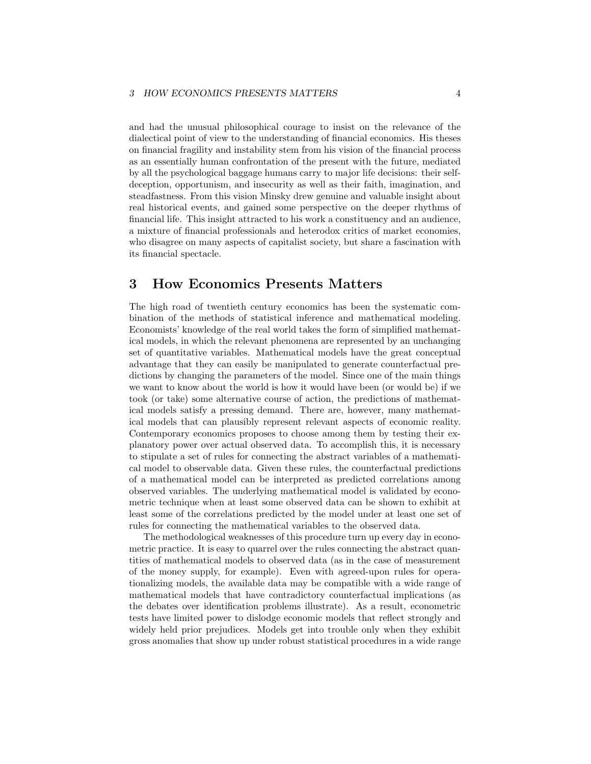and had the unusual philosophical courage to insist on the relevance of the dialectical point of view to the understanding of financial economics. His theses on financial fragility and instability stem from his vision of the financial process as an essentially human confrontation of the present with the future, mediated by all the psychological baggage humans carry to major life decisions: their selfdeception, opportunism, and insecurity as well as their faith, imagination, and steadfastness. From this vision Minsky drew genuine and valuable insight about real historical events, and gained some perspective on the deeper rhythms of financial life. This insight attracted to his work a constituency and an audience, a mixture of financial professionals and heterodox critics of market economies, who disagree on many aspects of capitalist society, but share a fascination with its financial spectacle.

### **3 How Economics Presents Matters**

The high road of twentieth century economics has been the systematic combination of the methods of statistical inference and mathematical modeling. Economists' knowledge of the real world takes the form of simplified mathematical models, in which the relevant phenomena are represented by an unchanging set of quantitative variables. Mathematical models have the great conceptual advantage that they can easily be manipulated to generate counterfactual predictions by changing the parameters of the model. Since one of the main things we want to know about the world is how it would have been (or would be) if we took (or take) some alternative course of action, the predictions of mathematical models satisfy a pressing demand. There are, however, many mathematical models that can plausibly represent relevant aspects of economic reality. Contemporary economics proposes to choose among them by testing their explanatory power over actual observed data. To accomplish this, it is necessary to stipulate a set of rules for connecting the abstract variables of a mathematical model to observable data. Given these rules, the counterfactual predictions of a mathematical model can be interpreted as predicted correlations among observed variables. The underlying mathematical model is validated by econometric technique when at least some observed data can be shown to exhibit at least some of the correlations predicted by the model under at least one set of rules for connecting the mathematical variables to the observed data.

The methodological weaknesses of this procedure turn up every day in econometric practice. It is easy to quarrel over the rules connecting the abstract quantities of mathematical models to observed data (as in the case of measurement of the money supply, for example). Even with agreed-upon rules for operationalizing models, the available data may be compatible with a wide range of mathematical models that have contradictory counterfactual implications (as the debates over identification problems illustrate). As a result, econometric tests have limited power to dislodge economic models that reflect strongly and widely held prior prejudices. Models get into trouble only when they exhibit gross anomalies that show up under robust statistical procedures in a wide range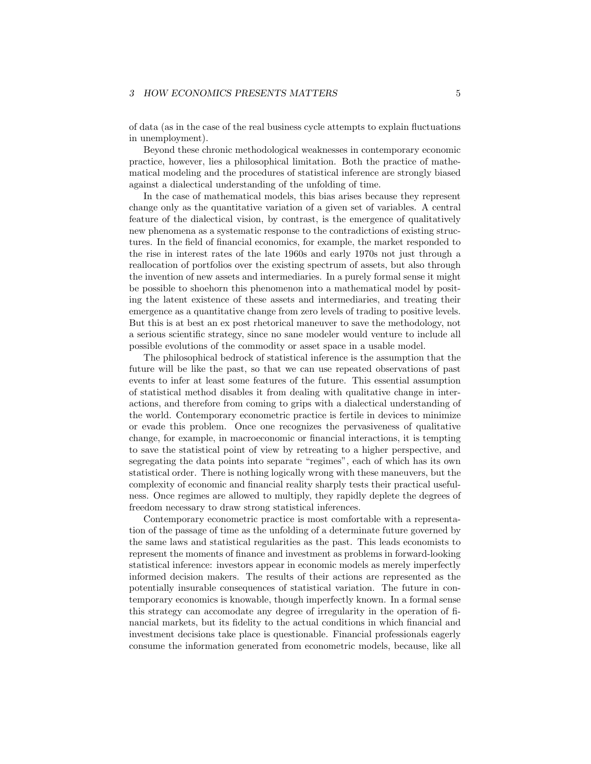#### *3 HOW ECONOMICS PRESENTS MATTERS*  $5$

of data (as in the case of the real business cycle attempts to explain fluctuations in unemployment).

Beyond these chronic methodological weaknesses in contemporary economic practice, however, lies a philosophical limitation. Both the practice of mathematical modeling and the procedures of statistical inference are strongly biased against a dialectical understanding of the unfolding of time.

In the case of mathematical models, this bias arises because they represent change only as the quantitative variation of a given set of variables. A central feature of the dialectical vision, by contrast, is the emergence of qualitatively new phenomena as a systematic response to the contradictions of existing structures. In the field of financial economics, for example, the market responded to the rise in interest rates of the late 1960s and early 1970s not just through a reallocation of portfolios over the existing spectrum of assets, but also through the invention of new assets and intermediaries. In a purely formal sense it might be possible to shoehorn this phenomenon into a mathematical model by positing the latent existence of these assets and intermediaries, and treating their emergence as a quantitative change from zero levels of trading to positive levels. But this is at best an ex post rhetorical maneuver to save the methodology, not a serious scientific strategy, since no sane modeler would venture to include all possible evolutions of the commodity or asset space in a usable model.

The philosophical bedrock of statistical inference is the assumption that the future will be like the past, so that we can use repeated observations of past events to infer at least some features of the future. This essential assumption of statistical method disables it from dealing with qualitative change in interactions, and therefore from coming to grips with a dialectical understanding of the world. Contemporary econometric practice is fertile in devices to minimize or evade this problem. Once one recognizes the pervasiveness of qualitative change, for example, in macroeconomic or financial interactions, it is tempting to save the statistical point of view by retreating to a higher perspective, and segregating the data points into separate "regimes", each of which has its own statistical order. There is nothing logically wrong with these maneuvers, but the complexity of economic and financial reality sharply tests their practical usefulness. Once regimes are allowed to multiply, they rapidly deplete the degrees of freedom necessary to draw strong statistical inferences.

Contemporary econometric practice is most comfortable with a representation of the passage of time as the unfolding of a determinate future governed by the same laws and statistical regularities as the past. This leads economists to represent the moments of finance and investment as problems in forward-looking statistical inference: investors appear in economic models as merely imperfectly informed decision makers. The results of their actions are represented as the potentially insurable consequences of statistical variation. The future in contemporary economics is knowable, though imperfectly known. In a formal sense this strategy can accomodate any degree of irregularity in the operation of financial markets, but its fidelity to the actual conditions in which financial and investment decisions take place is questionable. Financial professionals eagerly consume the information generated from econometric models, because, like all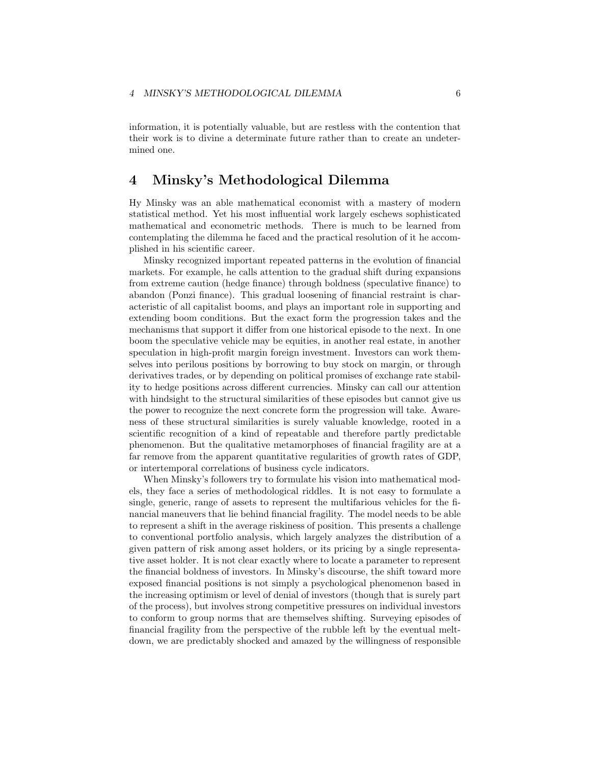information, it is potentially valuable, but are restless with the contention that their work is to divine a determinate future rather than to create an undetermined one.

### **4 Minsky's Methodological Dilemma**

Hy Minsky was an able mathematical economist with a mastery of modern statistical method. Yet his most influential work largely eschews sophisticated mathematical and econometric methods. There is much to be learned from contemplating the dilemma he faced and the practical resolution of it he accomplished in his scientific career.

Minsky recognized important repeated patterns in the evolution of financial markets. For example, he calls attention to the gradual shift during expansions from extreme caution (hedge finance) through boldness (speculative finance) to abandon (Ponzi finance). This gradual loosening of financial restraint is characteristic of all capitalist booms, and plays an important role in supporting and extending boom conditions. But the exact form the progression takes and the mechanisms that support it differ from one historical episode to the next. In one boom the speculative vehicle may be equities, in another real estate, in another speculation in high-profit margin foreign investment. Investors can work themselves into perilous positions by borrowing to buy stock on margin, or through derivatives trades, or by depending on political promises of exchange rate stability to hedge positions across different currencies. Minsky can call our attention with hindsight to the structural similarities of these episodes but cannot give us the power to recognize the next concrete form the progression will take. Awareness of these structural similarities is surely valuable knowledge, rooted in a scientific recognition of a kind of repeatable and therefore partly predictable phenomenon. But the qualitative metamorphoses of financial fragility are at a far remove from the apparent quantitative regularities of growth rates of GDP, or intertemporal correlations of business cycle indicators.

When Minsky's followers try to formulate his vision into mathematical models, they face a series of methodological riddles. It is not easy to formulate a single, generic, range of assets to represent the multifarious vehicles for the financial maneuvers that lie behind financial fragility. The model needs to be able to represent a shift in the average riskiness of position. This presents a challenge to conventional portfolio analysis, which largely analyzes the distribution of a given pattern of risk among asset holders, or its pricing by a single representative asset holder. It is not clear exactly where to locate a parameter to represent the financial boldness of investors. In Minsky's discourse, the shift toward more exposed financial positions is not simply a psychological phenomenon based in the increasing optimism or level of denial of investors (though that is surely part of the process), but involves strong competitive pressures on individual investors to conform to group norms that are themselves shifting. Surveying episodes of financial fragility from the perspective of the rubble left by the eventual meltdown, we are predictably shocked and amazed by the willingness of responsible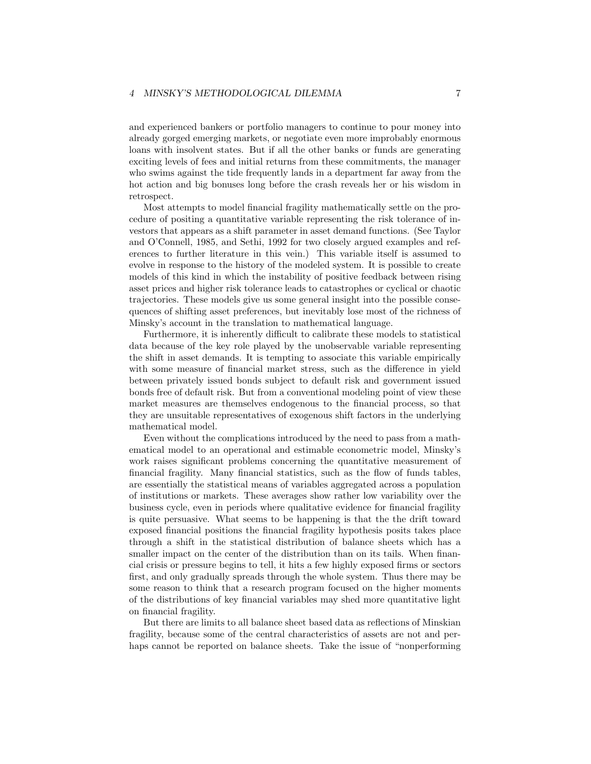and experienced bankers or portfolio managers to continue to pour money into already gorged emerging markets, or negotiate even more improbably enormous loans with insolvent states. But if all the other banks or funds are generating exciting levels of fees and initial returns from these commitments, the manager who swims against the tide frequently lands in a department far away from the hot action and big bonuses long before the crash reveals her or his wisdom in retrospect.

Most attempts to model financial fragility mathematically settle on the procedure of positing a quantitative variable representing the risk tolerance of investors that appears as a shift parameter in asset demand functions. (See Taylor and O'Connell, 1985, and Sethi, 1992 for two closely argued examples and references to further literature in this vein.) This variable itself is assumed to evolve in response to the history of the modeled system. It is possible to create models of this kind in which the instability of positive feedback between rising asset prices and higher risk tolerance leads to catastrophes or cyclical or chaotic trajectories. These models give us some general insight into the possible consequences of shifting asset preferences, but inevitably lose most of the richness of Minsky's account in the translation to mathematical language.

Furthermore, it is inherently difficult to calibrate these models to statistical data because of the key role played by the unobservable variable representing the shift in asset demands. It is tempting to associate this variable empirically with some measure of financial market stress, such as the difference in yield between privately issued bonds subject to default risk and government issued bonds free of default risk. But from a conventional modeling point of view these market measures are themselves endogenous to the financial process, so that they are unsuitable representatives of exogenous shift factors in the underlying mathematical model.

Even without the complications introduced by the need to pass from a mathematical model to an operational and estimable econometric model, Minsky's work raises significant problems concerning the quantitative measurement of financial fragility. Many financial statistics, such as the flow of funds tables, are essentially the statistical means of variables aggregated across a population of institutions or markets. These averages show rather low variability over the business cycle, even in periods where qualitative evidence for financial fragility is quite persuasive. What seems to be happening is that the the drift toward exposed financial positions the financial fragility hypothesis posits takes place through a shift in the statistical distribution of balance sheets which has a smaller impact on the center of the distribution than on its tails. When financial crisis or pressure begins to tell, it hits a few highly exposed firms or sectors first, and only gradually spreads through the whole system. Thus there may be some reason to think that a research program focused on the higher moments of the distributions of key financial variables may shed more quantitative light on financial fragility.

But there are limits to all balance sheet based data as reflections of Minskian fragility, because some of the central characteristics of assets are not and perhaps cannot be reported on balance sheets. Take the issue of "nonperforming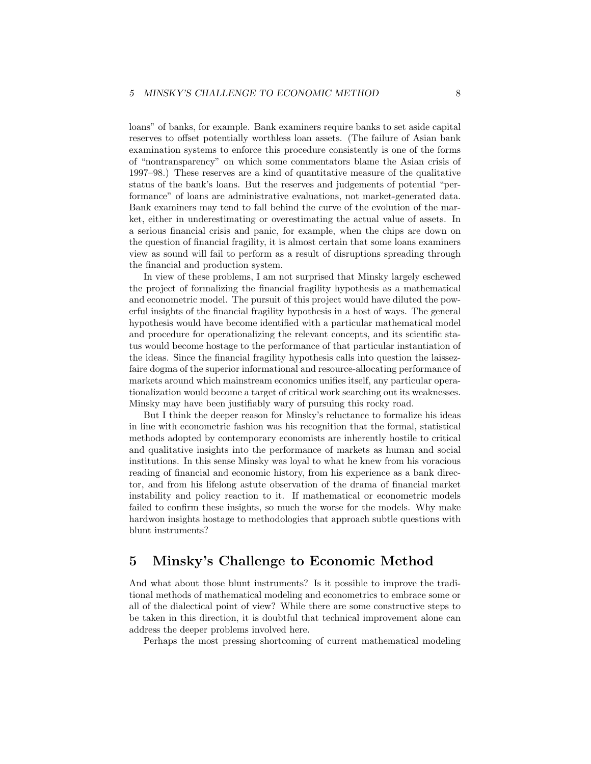loans" of banks, for example. Bank examiners require banks to set aside capital reserves to offset potentially worthless loan assets. (The failure of Asian bank examination systems to enforce this procedure consistently is one of the forms of "nontransparency" on which some commentators blame the Asian crisis of 1997–98.) These reserves are a kind of quantitative measure of the qualitative status of the bank's loans. But the reserves and judgements of potential "performance" of loans are administrative evaluations, not market-generated data. Bank examiners may tend to fall behind the curve of the evolution of the market, either in underestimating or overestimating the actual value of assets. In a serious financial crisis and panic, for example, when the chips are down on the question of financial fragility, it is almost certain that some loans examiners view as sound will fail to perform as a result of disruptions spreading through the financial and production system.

In view of these problems, I am not surprised that Minsky largely eschewed the project of formalizing the financial fragility hypothesis as a mathematical and econometric model. The pursuit of this project would have diluted the powerful insights of the financial fragility hypothesis in a host of ways. The general hypothesis would have become identified with a particular mathematical model and procedure for operationalizing the relevant concepts, and its scientific status would become hostage to the performance of that particular instantiation of the ideas. Since the financial fragility hypothesis calls into question the laissezfaire dogma of the superior informational and resource-allocating performance of markets around which mainstream economics unifies itself, any particular operationalization would become a target of critical work searching out its weaknesses. Minsky may have been justifiably wary of pursuing this rocky road.

But I think the deeper reason for Minsky's reluctance to formalize his ideas in line with econometric fashion was his recognition that the formal, statistical methods adopted by contemporary economists are inherently hostile to critical and qualitative insights into the performance of markets as human and social institutions. In this sense Minsky was loyal to what he knew from his voracious reading of financial and economic history, from his experience as a bank director, and from his lifelong astute observation of the drama of financial market instability and policy reaction to it. If mathematical or econometric models failed to confirm these insights, so much the worse for the models. Why make hardwon insights hostage to methodologies that approach subtle questions with blunt instruments?

# **5 Minsky's Challenge to Economic Method**

And what about those blunt instruments? Is it possible to improve the traditional methods of mathematical modeling and econometrics to embrace some or all of the dialectical point of view? While there are some constructive steps to be taken in this direction, it is doubtful that technical improvement alone can address the deeper problems involved here.

Perhaps the most pressing shortcoming of current mathematical modeling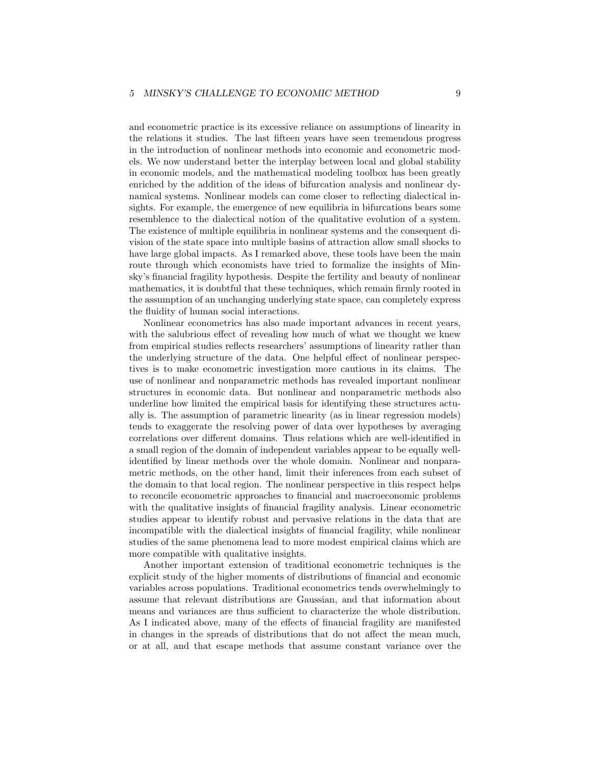and econometric practice is its excessive reliance on assumptions of linearity in the relations it studies. The last fifteen years have seen tremendous progress in the introduction of nonlinear methods into economic and econometric models. We now understand better the interplay between local and global stability in economic models, and the mathematical modeling toolbox has been greatly enriched by the addition of the ideas of bifurcation analysis and nonlinear dynamical systems. Nonlinear models can come closer to reflecting dialectical insights. For example, the emergence of new equilibria in bifurcations bears some resemblence to the dialectical notion of the qualitative evolution of a system. The existence of multiple equilibria in nonlinear systems and the consequent division of the state space into multiple basins of attraction allow small shocks to have large global impacts. As I remarked above, these tools have been the main route through which economists have tried to formalize the insights of Minsky's financial fragility hypothesis. Despite the fertility and beauty of nonlinear mathematics, it is doubtful that these techniques, which remain firmly rooted in the assumption of an unchanging underlying state space, can completely express the fluidity of human social interactions.

Nonlinear econometrics has also made important advances in recent years, with the salubrious effect of revealing how much of what we thought we knew from empirical studies reflects researchers' assumptions of linearity rather than the underlying structure of the data. One helpful effect of nonlinear perspectives is to make econometric investigation more cautious in its claims. The use of nonlinear and nonparametric methods has revealed important nonlinear structures in economic data. But nonlinear and nonparametric methods also underline how limited the empirical basis for identifying these structures actually is. The assumption of parametric linearity (as in linear regression models) tends to exaggerate the resolving power of data over hypotheses by averaging correlations over different domains. Thus relations which are well-identified in a small region of the domain of independent variables appear to be equally wellidentified by linear methods over the whole domain. Nonlinear and nonparametric methods, on the other hand, limit their inferences from each subset of the domain to that local region. The nonlinear perspective in this respect helps to reconcile econometric approaches to financial and macroeconomic problems with the qualitative insights of financial fragility analysis. Linear econometric studies appear to identify robust and pervasive relations in the data that are incompatible with the dialectical insights of financial fragility, while nonlinear studies of the same phenomena lead to more modest empirical claims which are more compatible with qualitative insights.

Another important extension of traditional econometric techniques is the explicit study of the higher moments of distributions of financial and economic variables across populations. Traditional econometrics tends overwhelmingly to assume that relevant distributions are Gaussian, and that information about means and variances are thus sufficient to characterize the whole distribution. As I indicated above, many of the effects of financial fragility are manifested in changes in the spreads of distributions that do not affect the mean much, or at all, and that escape methods that assume constant variance over the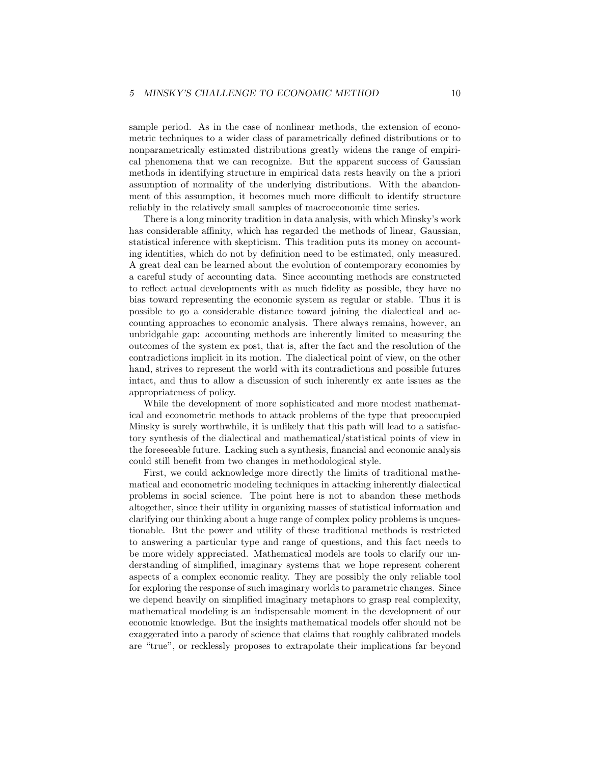sample period. As in the case of nonlinear methods, the extension of econometric techniques to a wider class of parametrically defined distributions or to nonparametrically estimated distributions greatly widens the range of empirical phenomena that we can recognize. But the apparent success of Gaussian methods in identifying structure in empirical data rests heavily on the a priori assumption of normality of the underlying distributions. With the abandonment of this assumption, it becomes much more difficult to identify structure reliably in the relatively small samples of macroeconomic time series.

There is a long minority tradition in data analysis, with which Minsky's work has considerable affinity, which has regarded the methods of linear, Gaussian, statistical inference with skepticism. This tradition puts its money on accounting identities, which do not by definition need to be estimated, only measured. A great deal can be learned about the evolution of contemporary economies by a careful study of accounting data. Since accounting methods are constructed to reflect actual developments with as much fidelity as possible, they have no bias toward representing the economic system as regular or stable. Thus it is possible to go a considerable distance toward joining the dialectical and accounting approaches to economic analysis. There always remains, however, an unbridgable gap: accounting methods are inherently limited to measuring the outcomes of the system ex post, that is, after the fact and the resolution of the contradictions implicit in its motion. The dialectical point of view, on the other hand, strives to represent the world with its contradictions and possible futures intact, and thus to allow a discussion of such inherently ex ante issues as the appropriateness of policy.

While the development of more sophisticated and more modest mathematical and econometric methods to attack problems of the type that preoccupied Minsky is surely worthwhile, it is unlikely that this path will lead to a satisfactory synthesis of the dialectical and mathematical/statistical points of view in the foreseeable future. Lacking such a synthesis, financial and economic analysis could still benefit from two changes in methodological style.

First, we could acknowledge more directly the limits of traditional mathematical and econometric modeling techniques in attacking inherently dialectical problems in social science. The point here is not to abandon these methods altogether, since their utility in organizing masses of statistical information and clarifying our thinking about a huge range of complex policy problems is unquestionable. But the power and utility of these traditional methods is restricted to answering a particular type and range of questions, and this fact needs to be more widely appreciated. Mathematical models are tools to clarify our understanding of simplified, imaginary systems that we hope represent coherent aspects of a complex economic reality. They are possibly the only reliable tool for exploring the response of such imaginary worlds to parametric changes. Since we depend heavily on simplified imaginary metaphors to grasp real complexity, mathematical modeling is an indispensable moment in the development of our economic knowledge. But the insights mathematical models offer should not be exaggerated into a parody of science that claims that roughly calibrated models are "true", or recklessly proposes to extrapolate their implications far beyond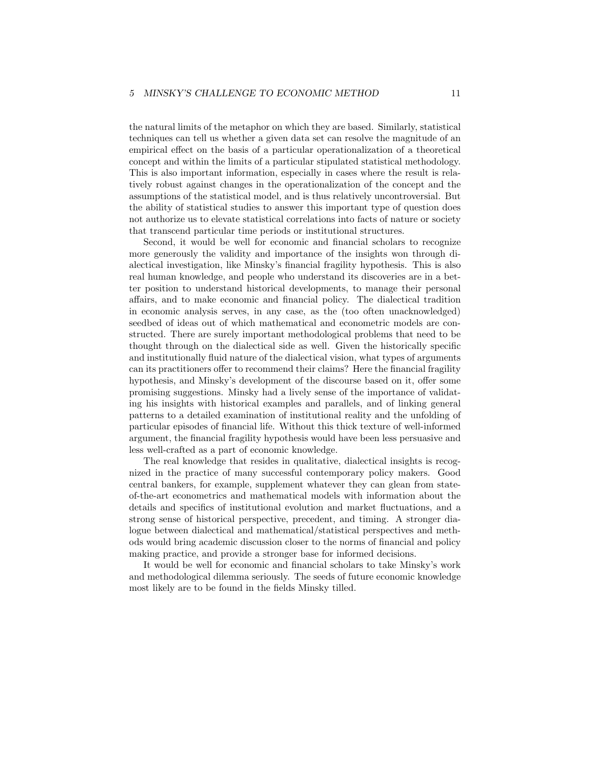#### *5 MINSKY'S CHALLENGE TO ECONOMIC METHOD* 11

the natural limits of the metaphor on which they are based. Similarly, statistical techniques can tell us whether a given data set can resolve the magnitude of an empirical effect on the basis of a particular operationalization of a theoretical concept and within the limits of a particular stipulated statistical methodology. This is also important information, especially in cases where the result is relatively robust against changes in the operationalization of the concept and the assumptions of the statistical model, and is thus relatively uncontroversial. But the ability of statistical studies to answer this important type of question does not authorize us to elevate statistical correlations into facts of nature or society that transcend particular time periods or institutional structures.

Second, it would be well for economic and financial scholars to recognize more generously the validity and importance of the insights won through dialectical investigation, like Minsky's financial fragility hypothesis. This is also real human knowledge, and people who understand its discoveries are in a better position to understand historical developments, to manage their personal affairs, and to make economic and financial policy. The dialectical tradition in economic analysis serves, in any case, as the (too often unacknowledged) seedbed of ideas out of which mathematical and econometric models are constructed. There are surely important methodological problems that need to be thought through on the dialectical side as well. Given the historically specific and institutionally fluid nature of the dialectical vision, what types of arguments can its practitioners offer to recommend their claims? Here the financial fragility hypothesis, and Minsky's development of the discourse based on it, offer some promising suggestions. Minsky had a lively sense of the importance of validating his insights with historical examples and parallels, and of linking general patterns to a detailed examination of institutional reality and the unfolding of particular episodes of financial life. Without this thick texture of well-informed argument, the financial fragility hypothesis would have been less persuasive and less well-crafted as a part of economic knowledge.

The real knowledge that resides in qualitative, dialectical insights is recognized in the practice of many successful contemporary policy makers. Good central bankers, for example, supplement whatever they can glean from stateof-the-art econometrics and mathematical models with information about the details and specifics of institutional evolution and market fluctuations, and a strong sense of historical perspective, precedent, and timing. A stronger dialogue between dialectical and mathematical/statistical perspectives and methods would bring academic discussion closer to the norms of financial and policy making practice, and provide a stronger base for informed decisions.

It would be well for economic and financial scholars to take Minsky's work and methodological dilemma seriously. The seeds of future economic knowledge most likely are to be found in the fields Minsky tilled.